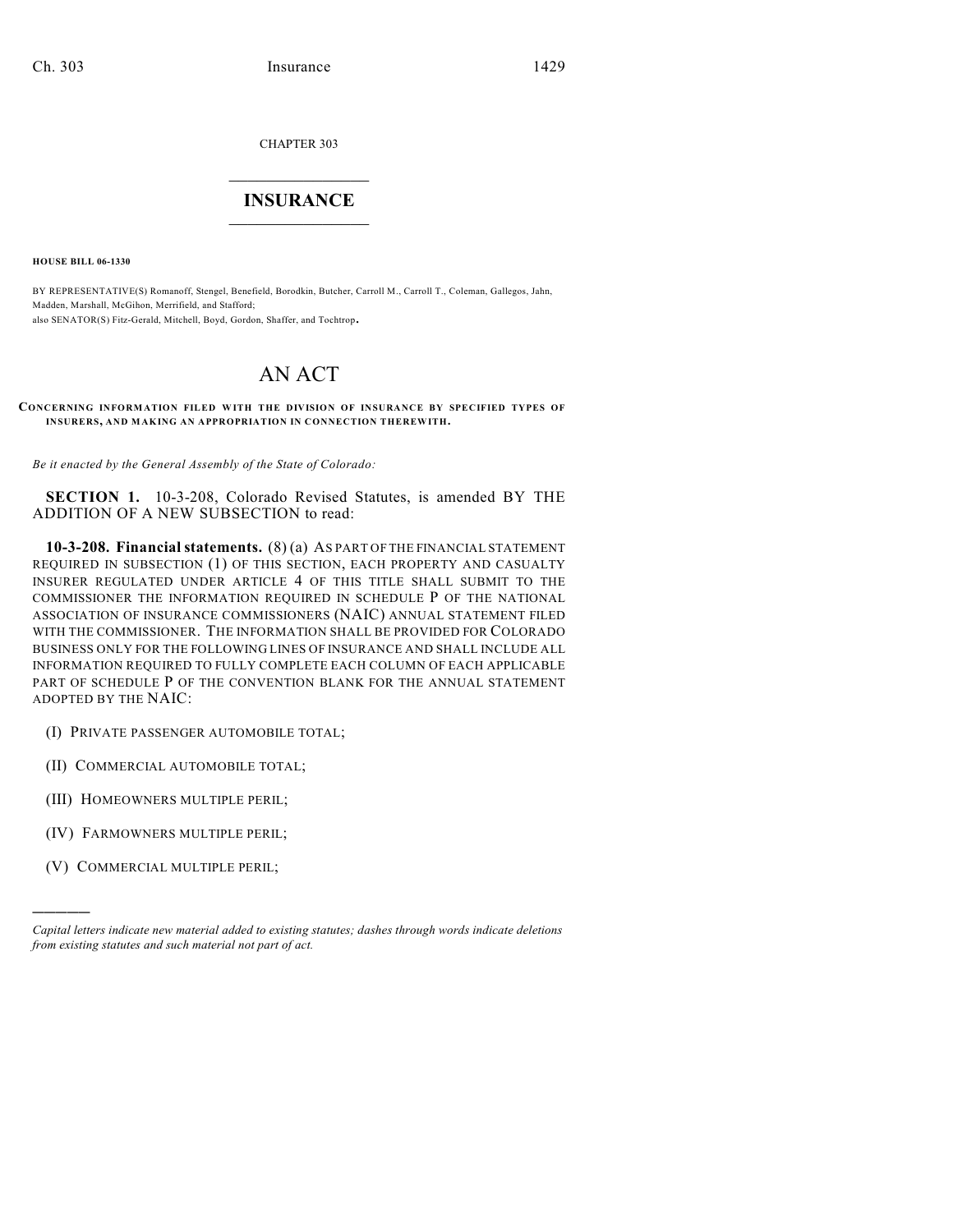CHAPTER 303

## $\mathcal{L}_\text{max}$  . The set of the set of the set of the set of the set of the set of the set of the set of the set of the set of the set of the set of the set of the set of the set of the set of the set of the set of the set **INSURANCE**  $\frac{1}{2}$  ,  $\frac{1}{2}$  ,  $\frac{1}{2}$  ,  $\frac{1}{2}$  ,  $\frac{1}{2}$  ,  $\frac{1}{2}$  ,  $\frac{1}{2}$

**HOUSE BILL 06-1330**

BY REPRESENTATIVE(S) Romanoff, Stengel, Benefield, Borodkin, Butcher, Carroll M., Carroll T., Coleman, Gallegos, Jahn, Madden, Marshall, McGihon, Merrifield, and Stafford; also SENATOR(S) Fitz-Gerald, Mitchell, Boyd, Gordon, Shaffer, and Tochtrop.

## AN ACT

**CONCERNING INFORMATION FILED WITH THE DIVISION OF INSURANCE BY SPECIFIED TYPES OF INSURERS, AND MAKING AN APPROPRIATION IN CONNECTION THEREWITH.**

*Be it enacted by the General Assembly of the State of Colorado:*

**SECTION 1.** 10-3-208, Colorado Revised Statutes, is amended BY THE ADDITION OF A NEW SUBSECTION to read:

**10-3-208. Financial statements.** (8) (a) AS PART OF THE FINANCIAL STATEMENT REQUIRED IN SUBSECTION (1) OF THIS SECTION, EACH PROPERTY AND CASUALTY INSURER REGULATED UNDER ARTICLE 4 OF THIS TITLE SHALL SUBMIT TO THE COMMISSIONER THE INFORMATION REQUIRED IN SCHEDULE P OF THE NATIONAL ASSOCIATION OF INSURANCE COMMISSIONERS (NAIC) ANNUAL STATEMENT FILED WITH THE COMMISSIONER. THE INFORMATION SHALL BE PROVIDED FOR COLORADO BUSINESS ONLY FOR THE FOLLOWING LINES OF INSURANCE AND SHALL INCLUDE ALL INFORMATION REQUIRED TO FULLY COMPLETE EACH COLUMN OF EACH APPLICABLE PART OF SCHEDULE P OF THE CONVENTION BLANK FOR THE ANNUAL STATEMENT ADOPTED BY THE NAIC:

- (I) PRIVATE PASSENGER AUTOMOBILE TOTAL;
- (II) COMMERCIAL AUTOMOBILE TOTAL;
- (III) HOMEOWNERS MULTIPLE PERIL;
- (IV) FARMOWNERS MULTIPLE PERIL;
- (V) COMMERCIAL MULTIPLE PERIL;

)))))

*Capital letters indicate new material added to existing statutes; dashes through words indicate deletions from existing statutes and such material not part of act.*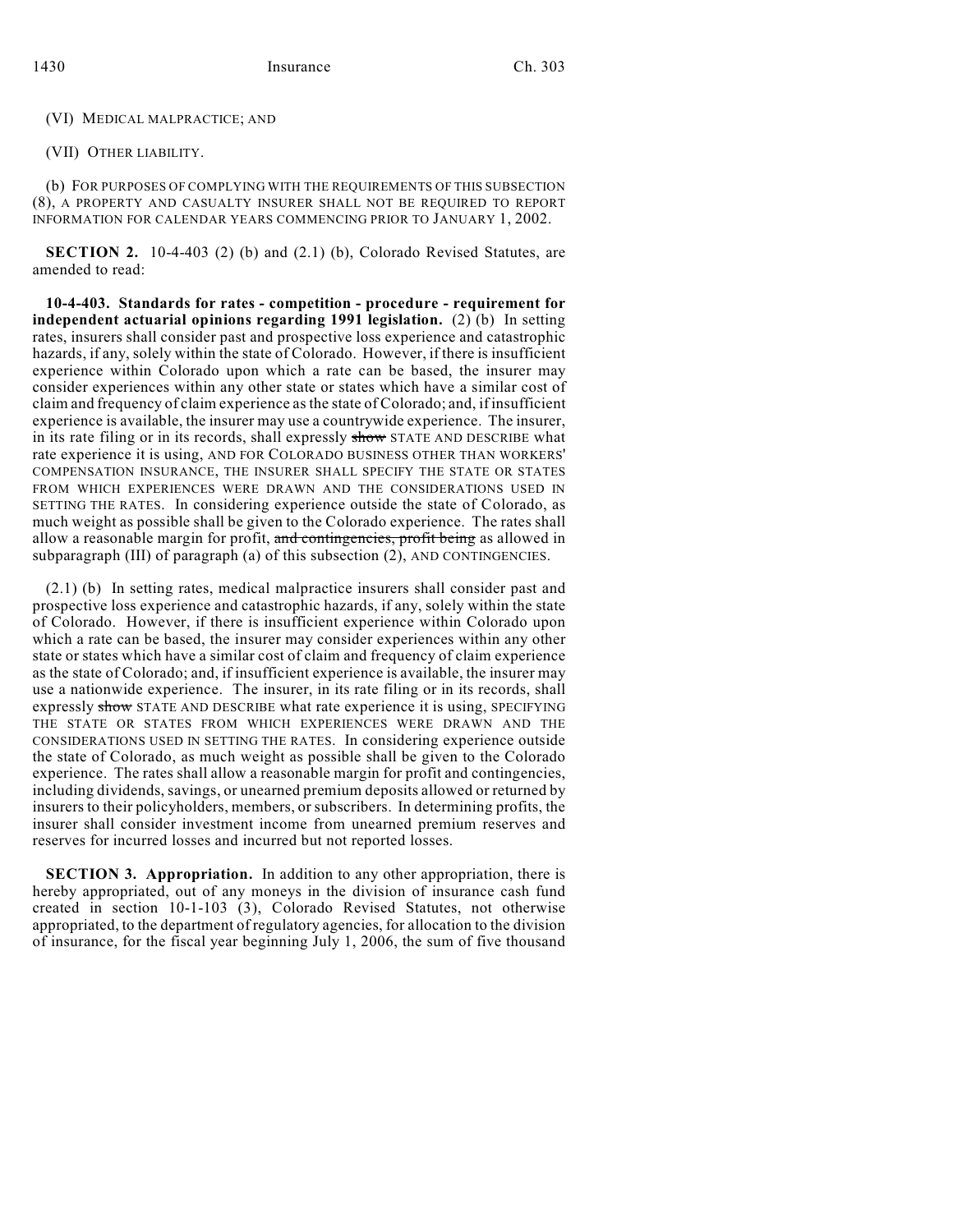(VI) MEDICAL MALPRACTICE; AND

(VII) OTHER LIABILITY.

(b) FOR PURPOSES OF COMPLYING WITH THE REQUIREMENTS OF THIS SUBSECTION (8), A PROPERTY AND CASUALTY INSURER SHALL NOT BE REQUIRED TO REPORT INFORMATION FOR CALENDAR YEARS COMMENCING PRIOR TO JANUARY 1, 2002.

**SECTION 2.** 10-4-403 (2) (b) and (2.1) (b), Colorado Revised Statutes, are amended to read:

**10-4-403. Standards for rates - competition - procedure - requirement for independent actuarial opinions regarding 1991 legislation.** (2) (b) In setting rates, insurers shall consider past and prospective loss experience and catastrophic hazards, if any, solely within the state of Colorado. However, if there is insufficient experience within Colorado upon which a rate can be based, the insurer may consider experiences within any other state or states which have a similar cost of claim and frequency of claim experience as the state of Colorado; and, if insufficient experience is available, the insurer may use a countrywide experience. The insurer, in its rate filing or in its records, shall expressly show STATE AND DESCRIBE what rate experience it is using, AND FOR COLORADO BUSINESS OTHER THAN WORKERS' COMPENSATION INSURANCE, THE INSURER SHALL SPECIFY THE STATE OR STATES FROM WHICH EXPERIENCES WERE DRAWN AND THE CONSIDERATIONS USED IN SETTING THE RATES. In considering experience outside the state of Colorado, as much weight as possible shall be given to the Colorado experience. The rates shall allow a reasonable margin for profit, and contingencies, profit being as allowed in subparagraph (III) of paragraph (a) of this subsection (2), AND CONTINGENCIES.

(2.1) (b) In setting rates, medical malpractice insurers shall consider past and prospective loss experience and catastrophic hazards, if any, solely within the state of Colorado. However, if there is insufficient experience within Colorado upon which a rate can be based, the insurer may consider experiences within any other state or states which have a similar cost of claim and frequency of claim experience as the state of Colorado; and, if insufficient experience is available, the insurer may use a nationwide experience. The insurer, in its rate filing or in its records, shall expressly show STATE AND DESCRIBE what rate experience it is using, SPECIFYING THE STATE OR STATES FROM WHICH EXPERIENCES WERE DRAWN AND THE CONSIDERATIONS USED IN SETTING THE RATES. In considering experience outside the state of Colorado, as much weight as possible shall be given to the Colorado experience. The rates shall allow a reasonable margin for profit and contingencies, including dividends, savings, or unearned premium deposits allowed or returned by insurers to their policyholders, members, or subscribers. In determining profits, the insurer shall consider investment income from unearned premium reserves and reserves for incurred losses and incurred but not reported losses.

**SECTION 3. Appropriation.** In addition to any other appropriation, there is hereby appropriated, out of any moneys in the division of insurance cash fund created in section 10-1-103 (3), Colorado Revised Statutes, not otherwise appropriated, to the department of regulatory agencies, for allocation to the division of insurance, for the fiscal year beginning July 1, 2006, the sum of five thousand